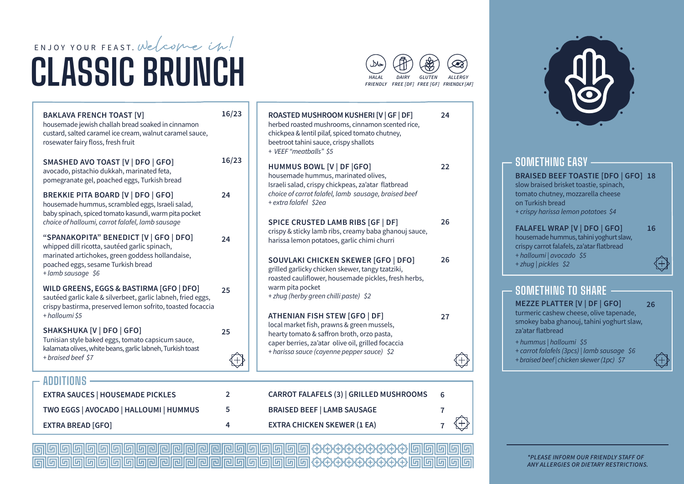# ENJOY YOUR FEAST. Welcome in! **CLASSIC BRUNCH**

**EXTRA BREAD [GFO]** 

| <b>BAKLAVA FRENCH TOAST [V]</b><br>housemade jewish challah bread soaked in cinnamon<br>custard, salted caramel ice cream, walnut caramel sauce,<br>rosewater fairy floss, fresh fruit                     | 16/23 | ROASTED MUSHROOM KUSHERI [V   GF   DF]<br>herbed roasted mushrooms, cinnamon scented rice,<br>chickpea & lentil pilaf, spiced tomato chutney,<br>beetroot tahini sauce, crispy shallots<br>+ VEEF "meatballs" \$5<br>HUMMUS BOWL [V   DF   GFO]<br>housemade hummus, marinated olives,<br>Israeli salad, crispy chickpeas, za'atar flatbread |
|------------------------------------------------------------------------------------------------------------------------------------------------------------------------------------------------------------|-------|----------------------------------------------------------------------------------------------------------------------------------------------------------------------------------------------------------------------------------------------------------------------------------------------------------------------------------------------|
| SMASHED AVO TOAST [V   DFO   GFO]<br>avocado, pistachio dukkah, marinated feta,<br>pomegranate gel, poached eggs, Turkish bread                                                                            | 16/23 |                                                                                                                                                                                                                                                                                                                                              |
| <b>BREKKIE PITA BOARD [V   DFO   GFO]</b><br>housemade hummus, scrambled eggs, Israeli salad,<br>baby spinach, spiced tomato kasundi, warm pita pocket<br>choice of halloumi, carrot falafel, lamb sausage | 24    | choice of carrot falafel, lamb sausage, braised beef<br>+ extra falafel \$2ea<br>SPICE CRUSTED LAMB RIBS [GF   DF]                                                                                                                                                                                                                           |
| "SPANAKOPITA" BENEDICT [V   GFO   DFO]<br>whipped dill ricotta, sautéed garlic spinach,<br>marinated artichokes, green goddess hollandaise,<br>poached eggs, sesame Turkish bread<br>+ lamb sausage \$6    | 24    | crispy & sticky lamb ribs, creamy baba ghanouj sauce<br>harissa lemon potatoes, garlic chimi churri<br><b>SOUVLAKI CHICKEN SKEWER [GFO   DFO]</b><br>grilled garlicky chicken skewer, tangy tzatziki,<br>roasted cauliflower, housemade pickles, fresh herbs,                                                                                |
| WILD GREENS, EGGS & BASTIRMA [GFO   DFO]<br>sautéed garlic kale & silverbeet, garlic labneh, fried eggs,<br>crispy bastirma, preserved lemon sofrito, toasted focaccia<br>+ halloumi \$5                   | 25    | warm pita pocket<br>+ zhug (herby green chilli paste) \$2<br><b>ATHENIAN FISH STEW [GFO   DF]</b>                                                                                                                                                                                                                                            |
| SHAKSHUKA [V   DFO   GFO]<br>Tunisian style baked eggs, tomato capsicum sauce,<br>kalamata olives, white beans, garlic labneh, Turkish toast<br>+ braised beef \$7                                         | 25    | local market fish, prawns & green mussels,<br>hearty tomato & saffron broth, orzo pasta,<br>caper berries, za'atar olive oil, grilled focaccia<br>+ harissa sauce (cayenne pepper sauce) \$2                                                                                                                                                 |
| <b>ADDITIONS</b>                                                                                                                                                                                           |       |                                                                                                                                                                                                                                                                                                                                              |
| <b>EXTRA SAUCES   HOUSEMADE PICKLES</b>                                                                                                                                                                    | 2     | <b>CARROT FALAFELS (3)   GRILLED MUSHROOMS</b>                                                                                                                                                                                                                                                                                               |
| TWO EGGS   AVOCADO   HALLOUMI   HUMMUS                                                                                                                                                                     | 5     | <b>BRAISED BEEF   LAMB SAUSAGE</b>                                                                                                                                                                                                                                                                                                           |

**EXTRA CHICKEN SKEWER (1 EA)** 

#### **HALAL** DAIRY GLUTEN **ALLERGY** FRIENDLY FREE [DF] FREE [GF] FRIENDLY [AF]

 $24$ 

 $22$ 

26

26

27

6

 $\overline{7}$ 

 $\overline{7}$ 

⊕

€



#### **SOMETHING TO SHARE**

**MEZZE PLATTER [V | DF | GFO]** 26 turmeric cashew cheese, olive tapenade, smokey baba ghanouj, tahini yoghurt slaw, za'atar flatbread

- + hummus | halloumi \$5
- + carrot falafels (3pcs) | lamb sausage \$6
- + braised beef | chicken skewer (1pc) \$7

16

### 

 $\overline{4}$ 

\*PLEASE INFORM OUR FRIENDLY STAFF OF ANY ALLERGIES OR DIETARY RESTRICTIONS.